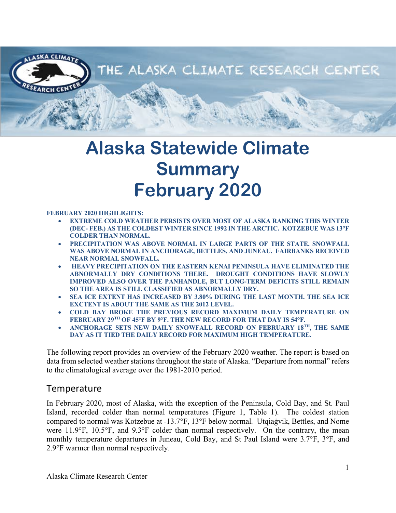

# **Alaska Statewide Climate Summary February 2020**

#### **FEBRUARY 2020 HIGHLIGHTS:**

- **EXTREME COLD WEATHER PERSISTS OVER MOST OF ALASKA RANKING THIS WINTER (DEC- FEB.) AS THE COLDEST WINTER SINCE 1992 IN THE ARCTIC. KOTZEBUE WAS 13°F COLDER THAN NORMAL.**
- **PRECIPITATION WAS ABOVE NORMAL IN LARGE PARTS OF THE STATE. SNOWFALL WAS ABOVE NORMAL IN ANCHORAGE, BETTLES, AND JUNEAU. FAIRBANKS RECEIVED NEAR NORMAL SNOWFALL.**
- **HEAVY PRECIPITATION ON THE EASTERN KENAI PENINSULA HAVE ELIMINATED THE ABNORMALLY DRY CONDITIONS THERE. DROUGHT CONDITIONS HAVE SLOWLY IMPROVED ALSO OVER THE PANHANDLE, BUT LONG-TERM DEFICITS STILL REMAIN SO THE AREA IS STILL CLASSIFIED AS ABNORMALLY DRY.**
- **SEA ICE EXTENT HAS INCREASED BY 3.80% DURING THE LAST MONTH. THE SEA ICE EXCTENT IS ABOUT THE SAME AS THE 2012 LEVEL.**
- **COLD BAY BROKE THE PREVIOUS RECORD MAXIMUM DAILY TEMPERATURE ON FEBRUARY 29TH OF 45°F BY 9°F. THE NEW RECORD FOR THAT DAY IS 54°F.**
- **ANCHORAGE SETS NEW DAILY SNOWFALL RECORD ON FEBRUARY 18TH, THE SAME DAY AS IT TIED THE DAILY RECORD FOR MAXIMUM HIGH TEMPERATURE.**

The following report provides an overview of the February 2020 weather. The report is based on data from selected weather stations throughout the state of Alaska. "Departure from normal" refers to the climatological average over the 1981-2010 period.

#### **Temperature**

In February 2020, most of Alaska, with the exception of the Peninsula, Cold Bay, and St. Paul Island, recorded colder than normal temperatures (Figure 1, Table 1). The coldest station compared to normal was Kotzebue at -13.7°F, 13°F below normal. Utqiaġvik, Bettles, and Nome were 11.9°F, 10.5°F, and 9.3°F colder than normal respectively. On the contrary, the mean monthly temperature departures in Juneau, Cold Bay, and St Paul Island were 3.7°F, 3°F, and 2.9°F warmer than normal respectively.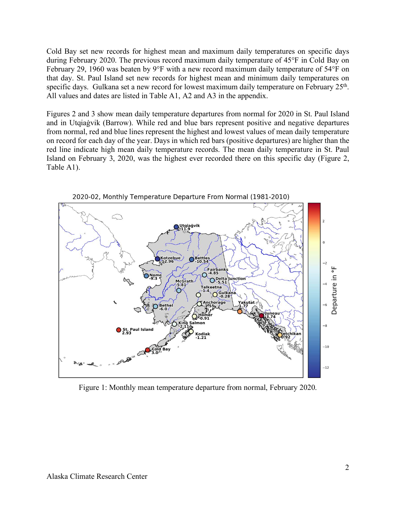Cold Bay set new records for highest mean and maximum daily temperatures on specific days during February 2020. The previous record maximum daily temperature of 45°F in Cold Bay on February 29, 1960 was beaten by 9°F with a new record maximum daily temperature of 54°F on that day. St. Paul Island set new records for highest mean and minimum daily temperatures on specific days. Gulkana set a new record for lowest maximum daily temperature on February 25<sup>th</sup>. All values and dates are listed in Table A1, A2 and A3 in the appendix.

Figures 2 and 3 show mean daily temperature departures from normal for 2020 in St. Paul Island and in Utqiaġvik (Barrow). While red and blue bars represent positive and negative departures from normal, red and blue lines represent the highest and lowest values of mean daily temperature on record for each day of the year. Days in which red bars (positive departures) are higher than the red line indicate high mean daily temperature records. The mean daily temperature in St. Paul Island on February 3, 2020, was the highest ever recorded there on this specific day (Figure 2, Table A1).



Figure 1: Monthly mean temperature departure from normal, February 2020.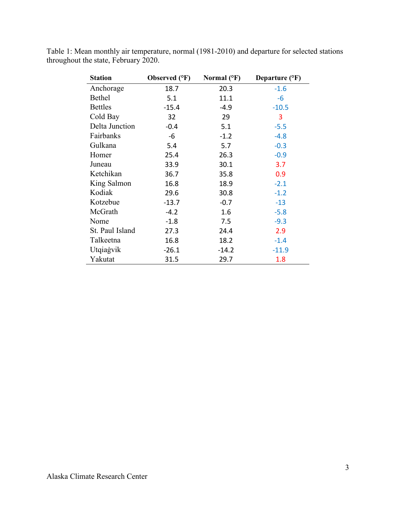| <b>Station</b>  | Observed (°F) | Normal $(^{\circ}F)$ | Departure $(^{\circ}F)$ |
|-----------------|---------------|----------------------|-------------------------|
| Anchorage       | 18.7          | 20.3                 | $-1.6$                  |
| <b>Bethel</b>   | 5.1           | 11.1                 | $-6$                    |
| <b>Bettles</b>  | $-15.4$       | $-4.9$               | $-10.5$                 |
| Cold Bay        | 32            | 29                   | 3                       |
| Delta Junction  | $-0.4$        | 5.1                  | $-5.5$                  |
| Fairbanks       | $-6$          | $-1.2$               | $-4.8$                  |
| Gulkana         | 5.4           | 5.7                  | $-0.3$                  |
| Homer           | 25.4          | 26.3                 | $-0.9$                  |
| Juneau          | 33.9          | 30.1                 | 3.7                     |
| Ketchikan       | 36.7          | 35.8                 | 0.9                     |
| King Salmon     | 16.8          | 18.9                 | $-2.1$                  |
| Kodiak          | 29.6          | 30.8                 | $-1.2$                  |
| Kotzebue        | $-13.7$       | $-0.7$               | $-13$                   |
| McGrath         | $-4.2$        | 1.6                  | $-5.8$                  |
| Nome            | $-1.8$        | 7.5                  | $-9.3$                  |
| St. Paul Island | 27.3          | 24.4                 | 2.9                     |
| Talkeetna       | 16.8          | 18.2                 | $-1.4$                  |
| Utqiagvik       | $-26.1$       | $-14.2$              | $-11.9$                 |
| Yakutat         | 31.5          | 29.7                 | 1.8                     |

Table 1: Mean monthly air temperature, normal (1981-2010) and departure for selected stations throughout the state, February 2020.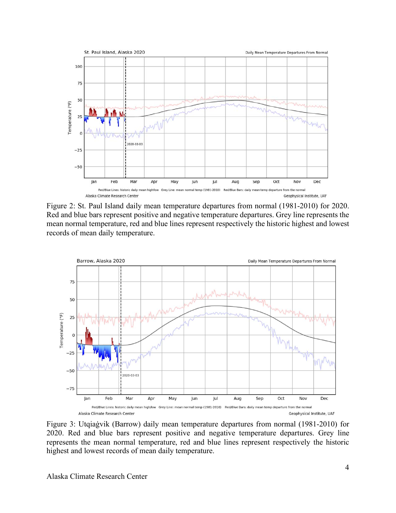

Figure 2: St. Paul Island daily mean temperature departures from normal (1981-2010) for 2020. Red and blue bars represent positive and negative temperature departures. Grey line represents the mean normal temperature, red and blue lines represent respectively the historic highest and lowest records of mean daily temperature.



Figure 3: Utqiaġvik (Barrow) daily mean temperature departures from normal (1981-2010) for 2020. Red and blue bars represent positive and negative temperature departures. Grey line represents the mean normal temperature, red and blue lines represent respectively the historic highest and lowest records of mean daily temperature.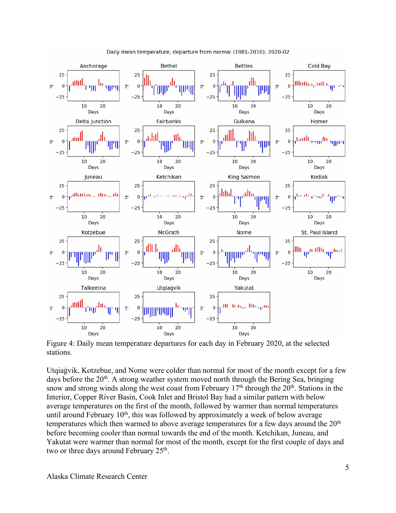

Daily mean temperature, departure from normal (1981-2010), 2020-02

Figure 4: Daily mean temperature departures for each day in February 2020, at the selected stations.

Utqiaġvik, Kotzebue, and Nome were colder than normal for most of the month except for a few days before the  $20<sup>th</sup>$ . A strong weather system moved north through the Bering Sea, bringing snow and strong winds along the west coast from February  $17<sup>th</sup>$  through the  $20<sup>th</sup>$ . Stations in the Interior, Copper River Basin, Cook Inlet and Bristol Bay had a similar pattern with below average temperatures on the first of the month, followed by warmer than normal temperatures until around February  $10<sup>th</sup>$ , this was followed by approximately a week of below average temperatures which then warmed to above average temperatures for a few days around the  $20<sup>th</sup>$ before becoming cooler than normal towards the end of the month. Ketchikan, Juneau, and Yakutat were warmer than normal for most of the month, except for the first couple of days and two or three days around February 25<sup>th</sup>.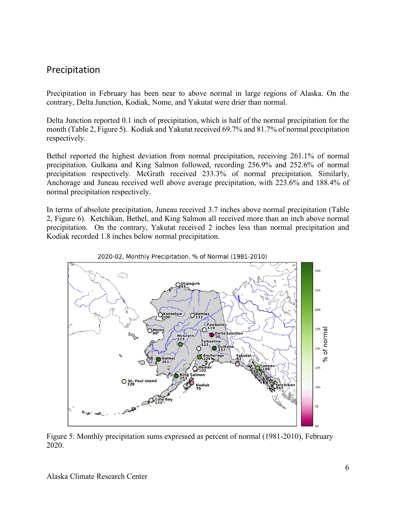### Precipitation

Precipitation in February has been near to above normal in large regions of Alaska. On the contrary, Delta Junction, Kodiak, Nome, and Yakutat were drier than normal.

Delta Junction reported 0.1 inch of precipitation, which is half of the normal precipitation for the month (Table 2, Figure 5). Kodiak and Yakutat received 69.7% and 81.7% of normal precipitation respectively.

Bethel reported the highest deviation from normal precipitation, receiving 261.1% of normal precipitation. Gulkana and King Salmon followed, recording 256.9% and 252.6% of normal precipitation respectively. McGrath received 233.3% of normal precipitation. Similarly, Anchorage and Juneau received well above average precipitation, with 223.6% and 188.4% of normal precipitation respectively.

In terms of absolute precipitation, Juneau received 3.7 inches above normal precipitation (Table 2, Figure 6). Ketchikan, Bethel, and King Salmon all received more than an inch above normal precipitation. On the contrary, Yakutat received 2 inches less than normal precipitation and Kodiak recorded 1.8 inches below normal precipitation.





Figure 5: Monthly precipitation sums expressed as percent of normal (1981-2010), February 2020.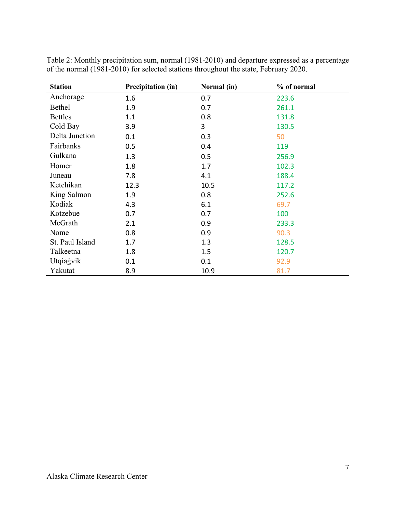| <b>Station</b>  | Precipitation (in) | Normal (in) | % of normal |
|-----------------|--------------------|-------------|-------------|
| Anchorage       | 1.6                | 0.7         | 223.6       |
| <b>Bethel</b>   | 1.9                | 0.7         | 261.1       |
| <b>Bettles</b>  | 1.1                | 0.8         | 131.8       |
| Cold Bay        | 3.9                | 3           | 130.5       |
| Delta Junction  | 0.1                | 0.3         | 50          |
| Fairbanks       | 0.5                | 0.4         | 119         |
| Gulkana         | 1.3                | 0.5         | 256.9       |
| Homer           | 1.8                | 1.7         | 102.3       |
| Juneau          | 7.8                | 4.1         | 188.4       |
| Ketchikan       | 12.3               | 10.5        | 117.2       |
| King Salmon     | 1.9                | 0.8         | 252.6       |
| Kodiak          | 4.3                | 6.1         | 69.7        |
| Kotzebue        | 0.7                | 0.7         | 100         |
| McGrath         | 2.1                | 0.9         | 233.3       |
| Nome            | 0.8                | 0.9         | 90.3        |
| St. Paul Island | 1.7                | 1.3         | 128.5       |
| Talkeetna       | 1.8                | 1.5         | 120.7       |
| Utqiagvik       | 0.1                | 0.1         | 92.9        |
| Yakutat         | 8.9                | 10.9        | 81.7        |

Table 2: Monthly precipitation sum, normal (1981-2010) and departure expressed as a percentage of the normal (1981-2010) for selected stations throughout the state, February 2020.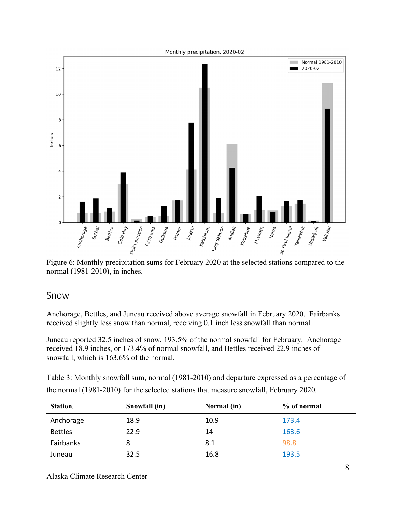

Figure 6: Monthly precipitation sums for February 2020 at the selected stations compared to the normal (1981-2010), in inches.

#### Snow

Anchorage, Bettles, and Juneau received above average snowfall in February 2020. Fairbanks received slightly less snow than normal, receiving 0.1 inch less snowfall than normal.

Juneau reported 32.5 inches of snow, 193.5% of the normal snowfall for February. Anchorage received 18.9 inches, or 173.4% of normal snowfall, and Bettles received 22.9 inches of snowfall, which is 163.6% of the normal.

Table 3: Monthly snowfall sum, normal (1981-2010) and departure expressed as a percentage of the normal (1981-2010) for the selected stations that measure snowfall, February 2020.

| <b>Station</b> | Snowfall (in) | Normal (in) | % of normal |
|----------------|---------------|-------------|-------------|
| Anchorage      | 18.9          | 10.9        | 173.4       |
| <b>Bettles</b> | 22.9          | 14          | 163.6       |
| Fairbanks      | 8             | 8.1         | 98.8        |
| Juneau         | 32.5          | 16.8        | 193.5       |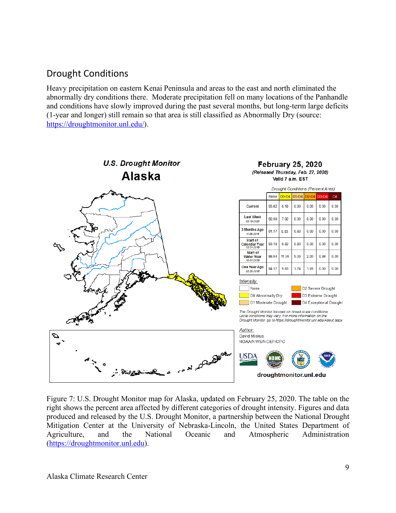## Drought Conditions

Heavy precipitation on eastern Kenai Peninsula and areas to the east and north eliminated the abnormally dry conditions there. Moderate precipitation fell on many locations of the Panhandle and conditions have slowly improved during the past several months, but long-term large deficits (1-year and longer) still remain so that area is still classified as Abnormally Dry (source: https://droughtmonitor.unl.edu/).



Figure 7: U.S. Drought Monitor map for Alaska, updated on February 25, 2020. The table on the right shows the percent area affected by different categories of drought intensity. Figures and data produced and released by the U.S. Drought Monitor, a partnership between the National Drought Mitigation Center at the University of Nebraska-Lincoln, the United States Department of Agriculture, and the National Oceanic and Atmospheric Administration (https://droughtmonitor.unl.edu).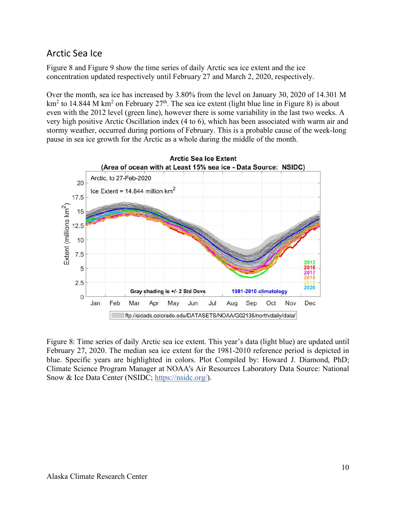## Arctic Sea Ice

Figure 8 and Figure 9 show the time series of daily Arctic sea ice extent and the ice concentration updated respectively until February 27 and March 2, 2020, respectively.

Over the month, sea ice has increased by 3.80% from the level on January 30, 2020 of 14.301 M  $km<sup>2</sup>$  to 14.844 M km<sup>2</sup> on February 27<sup>th</sup>. The sea ice extent (light blue line in Figure 8) is about even with the 2012 level (green line), however there is some variability in the last two weeks. A very high positive Arctic Oscillation index (4 to 6), which has been associated with warm air and stormy weather, occurred during portions of February. This is a probable cause of the week-long pause in sea ice growth for the Arctic as a whole during the middle of the month.



Figure 8: Time series of daily Arctic sea ice extent. This year's data (light blue) are updated until February 27, 2020. The median sea ice extent for the 1981-2010 reference period is depicted in blue. Specific years are highlighted in colors. Plot Compiled by: Howard J. Diamond, PhD; Climate Science Program Manager at NOAA's Air Resources Laboratory Data Source: National Snow & Ice Data Center (NSIDC; https://nsidc.org/).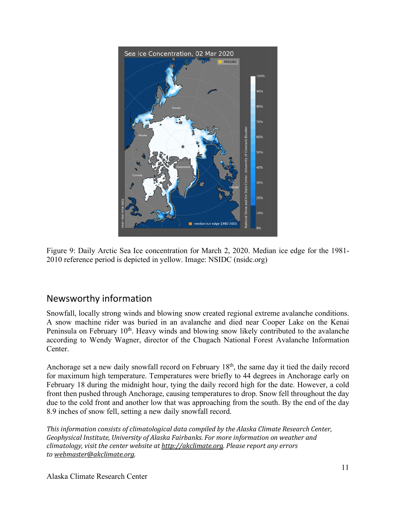

Figure 9: Daily Arctic Sea Ice concentration for March 2, 2020. Median ice edge for the 1981- 2010 reference period is depicted in yellow. Image: NSIDC (nsidc.org)

## Newsworthy information

Snowfall, locally strong winds and blowing snow created regional extreme avalanche conditions. A snow machine rider was buried in an avalanche and died near Cooper Lake on the Kenai Peninsula on February 10<sup>th</sup>. Heavy winds and blowing snow likely contributed to the avalanche according to Wendy Wagner, director of the Chugach National Forest Avalanche Information Center.

Anchorage set a new daily snowfall record on February 18<sup>th</sup>, the same day it tied the daily record for maximum high temperature. Temperatures were briefly to 44 degrees in Anchorage early on February 18 during the midnight hour, tying the daily record high for the date. However, a cold front then pushed through Anchorage, causing temperatures to drop. Snow fell throughout the day due to the cold front and another low that was approaching from the south. By the end of the day 8.9 inches of snow fell, setting a new daily snowfall record.

*This information consists of climatological data compiled by the Alaska Climate Research Center,* Geophysical Institute, University of Alaska Fairbanks. For more information on weather and *climatology, visit the center website at http://akclimate.org. Please report any errors to webmaster@akclimate.org.*